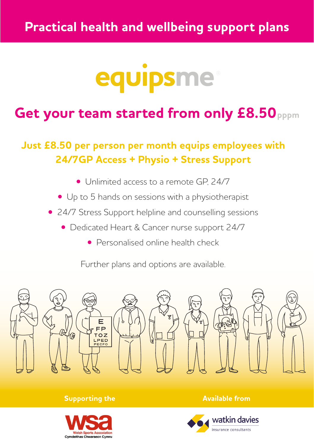# equipsme

# Get your team started from only £8.50 pppm

## **Just £8.50 per person per month equips employees with 24/7GP Access + Physio + Stress Support**

- Unlimited access to a remote GP, 24/7
- Up to 5 hands on sessions with a physiotherapist
- 24/7 Stress Support helpline and counselling sessions
	- Dedicated Heart & Cancer nurse support 24/7
		- Personalised online health check

Further plans and options are available.



#### **Supporting the Available from**